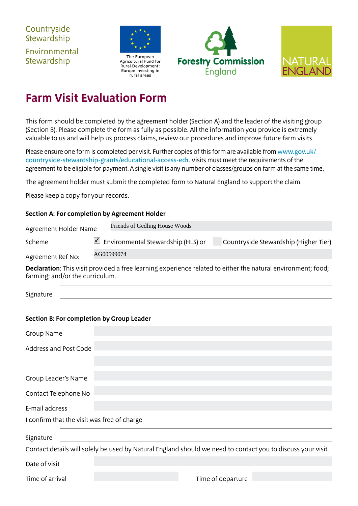**Countryside Stewardship** Environmental **Stewardship** 



Agricultural Fund for Rural Development: Europe investing in rural areas





## **Farm Visit Evaluation Form**

This form should be completed by the agreement holder (Section A) and the leader of the visiting group (Section B). Please complete the form as fully as possible. All the information you provide is extremely valuable to us and will help us process claims, review our procedures and improve future farm visits.

Please ensure one form is completed per visit. Further copies of this form are available from [www.gov.uk/](https://www.gov.uk/countryside-stewardship-grants/educational-access-ed1) [countryside-stewardship-grants/educational-access-ed1](https://www.gov.uk/countryside-stewardship-grants/educational-access-ed1). Visits must meet the requirements of the agreement to be eligible for payment. A single visit is any number of classes/groups on farm at the same time.

The agreement holder must submit the completed form to Natural England to support the claim.

Please keep a copy for your records.

## **Section A: For completion by Agreement Holder**

| Agreement Holder Name | Friends of Gedling House Woods            |                                       |  |  |  |
|-----------------------|-------------------------------------------|---------------------------------------|--|--|--|
| Scheme                | $\vee$ Environmental Stewardship (HLS) or | Countryside Stewardship (Higher Tier) |  |  |  |
| Agreement Ref No:     | AG00599074                                |                                       |  |  |  |

**Declaration**: This visit provided a free learning experience related to either the natural environment; food; farming; and/or the curriculum.

| Signatur<br>.  |  |
|----------------|--|
| . <del>.</del> |  |

## **Section B: For completion by Group Leader**

| Group Name                                                                                                  |                   |  |  |  |  |  |
|-------------------------------------------------------------------------------------------------------------|-------------------|--|--|--|--|--|
| <b>Address and Post Code</b>                                                                                |                   |  |  |  |  |  |
|                                                                                                             |                   |  |  |  |  |  |
| Group Leader's Name                                                                                         |                   |  |  |  |  |  |
| Contact Telephone No                                                                                        |                   |  |  |  |  |  |
| E-mail address                                                                                              |                   |  |  |  |  |  |
| I confirm that the visit was free of charge                                                                 |                   |  |  |  |  |  |
| Signature                                                                                                   |                   |  |  |  |  |  |
| Contact details will solely be used by Natural England should we need to contact you to discuss your visit. |                   |  |  |  |  |  |
| Date of visit                                                                                               |                   |  |  |  |  |  |
| Time of arrival                                                                                             | Time of departure |  |  |  |  |  |